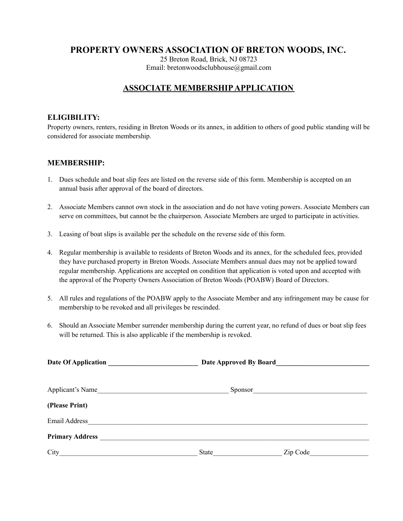# **PROPERTY OWNERS ASSOCIATION OF BRETON WOODS, INC.**

25 Breton Road, Brick, NJ 08723 Email: bretonwoodsclubhouse@gmail.com

## **ASSOCIATE MEMBERSHIPAPPLICATION**

#### **ELIGIBILITY:**

Property owners, renters, residing in Breton Woods or its annex, in addition to others of good public standing will be considered for associate membership.

#### **MEMBERSHIP:**

- 1. Dues schedule and boat slip fees are listed on the reverse side of this form. Membership is accepted on an annual basis after approval of the board of directors.
- 2. Associate Members cannot own stock in the association and do not have voting powers. Associate Members can serve on committees, but cannot be the chairperson. Associate Members are urged to participate in activities.
- 3. Leasing of boat slips is available per the schedule on the reverse side of this form.
- 4. Regular membership is available to residents of Breton Woods and its annex, for the scheduled fees, provided they have purchased property in Breton Woods. Associate Members annual dues may not be applied toward regular membership. Applications are accepted on condition that application is voted upon and accepted with the approval of the Property Owners Association of Breton Woods (POABW) Board of Directors.
- 5. All rules and regulations of the POABW apply to the Associate Member and any infringement may be cause for membership to be revoked and all privileges be rescinded.
- 6. Should an Associate Member surrender membership during the current year, no refund of dues or boat slip fees will be returned. This is also applicable if the membership is revoked.

| Date Of Application    | <b>Date Approved By Board</b> |          |  |
|------------------------|-------------------------------|----------|--|
|                        |                               |          |  |
| Applicant's Name       | Sponsor                       |          |  |
| (Please Print)         |                               |          |  |
| Email Address          |                               |          |  |
| <b>Primary Address</b> |                               |          |  |
| City                   | State                         | Zip Code |  |